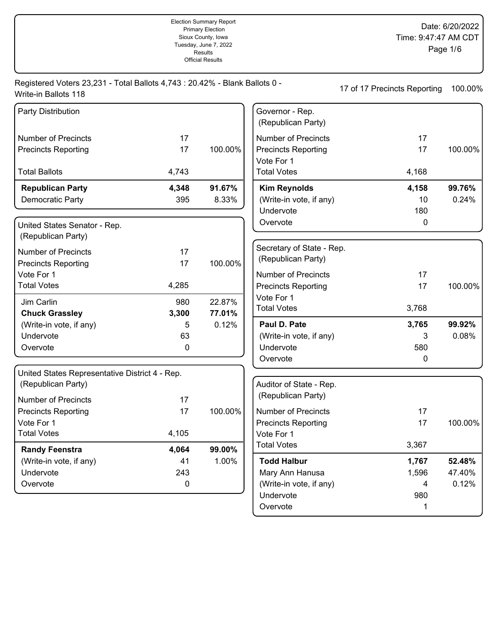|                                                                                                     |       | Tuesday, June 7, 2022<br><b>Results</b><br><b>Official Results</b> |                                          |                              | Page 1/6 |
|-----------------------------------------------------------------------------------------------------|-------|--------------------------------------------------------------------|------------------------------------------|------------------------------|----------|
| Registered Voters 23,231 - Total Ballots 4,743 : 20.42% - Blank Ballots 0 -<br>Write-in Ballots 118 |       |                                                                    |                                          | 17 of 17 Precincts Reporting | 100.00%  |
| Party Distribution                                                                                  |       |                                                                    | Governor - Rep.<br>(Republican Party)    |                              |          |
| <b>Number of Precincts</b>                                                                          | 17    |                                                                    | <b>Number of Precincts</b>               | 17                           |          |
| <b>Precincts Reporting</b>                                                                          | 17    | 100.00%                                                            | <b>Precincts Reporting</b><br>Vote For 1 | 17                           | 100.00%  |
| <b>Total Ballots</b>                                                                                | 4,743 |                                                                    | <b>Total Votes</b>                       | 4,168                        |          |
| <b>Republican Party</b>                                                                             | 4,348 | 91.67%                                                             | <b>Kim Reynolds</b>                      | 4,158                        | 99.76%   |
| Democratic Party                                                                                    | 395   | 8.33%                                                              | (Write-in vote, if any)                  | 10                           | 0.24%    |
|                                                                                                     |       |                                                                    | Undervote                                | 180                          |          |
| United States Senator - Rep.<br>(Republican Party)                                                  |       |                                                                    | Overvote                                 | 0                            |          |
| <b>Number of Precincts</b>                                                                          | 17    |                                                                    | Secretary of State - Rep.                |                              |          |
| <b>Precincts Reporting</b>                                                                          | 17    | 100.00%                                                            | (Republican Party)                       |                              |          |
| Vote For 1                                                                                          |       |                                                                    | <b>Number of Precincts</b>               | 17                           |          |
| <b>Total Votes</b>                                                                                  | 4,285 |                                                                    | <b>Precincts Reporting</b>               | 17                           | 100.00%  |
| Jim Carlin                                                                                          | 980   | 22.87%                                                             | Vote For 1                               |                              |          |
| <b>Chuck Grassley</b>                                                                               | 3,300 | 77.01%                                                             | <b>Total Votes</b>                       | 3,768                        |          |
| (Write-in vote, if any)                                                                             | 5     | 0.12%                                                              | Paul D. Pate                             | 3,765                        | 99.92%   |
| Undervote                                                                                           | 63    |                                                                    | (Write-in vote, if any)                  | 3                            | 0.08%    |
| Overvote                                                                                            | 0     |                                                                    | Undervote                                | 580                          |          |
|                                                                                                     |       |                                                                    | Overvote                                 | 0                            |          |
| United States Representative District 4 - Rep.                                                      |       |                                                                    |                                          |                              |          |
| (Republican Party)                                                                                  |       |                                                                    | Auditor of State - Rep.                  |                              |          |
| <b>Number of Precincts</b>                                                                          | 17    |                                                                    | (Republican Party)                       |                              |          |
| <b>Precincts Reporting</b>                                                                          | 17    | 100.00%                                                            | Number of Precincts                      | 17                           |          |
| Vote For 1                                                                                          |       |                                                                    | <b>Precincts Reporting</b>               | 17                           | 100.00%  |
| <b>Total Votes</b>                                                                                  | 4,105 |                                                                    | Vote For 1                               |                              |          |
| <b>Randy Feenstra</b>                                                                               | 4,064 | 99.00%                                                             | <b>Total Votes</b>                       | 3,367                        |          |
| (Write-in vote, if any)                                                                             | 41    | 1.00%                                                              | <b>Todd Halbur</b>                       | 1,767                        | 52.48%   |
| Undervote                                                                                           | 243   |                                                                    | Mary Ann Hanusa                          | 1,596                        | 47.40%   |
| Overvote                                                                                            | 0     |                                                                    | (Write-in vote, if any)                  | 4                            | 0.12%    |
|                                                                                                     |       |                                                                    | Undervote                                | 980                          |          |

Overvote 1

Election Summary Report Primary Election Sioux County, Iowa Tuesday, June 7, 2022

Date: 6/20/2022

Time: 9:47:47 AM CDT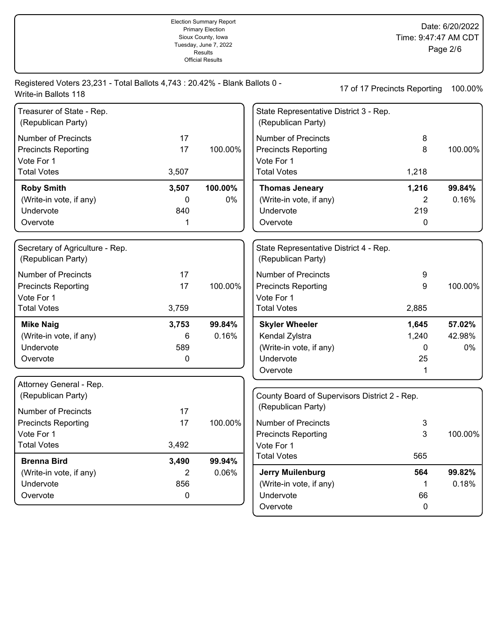|                                                                                                     |          | Tuesday, June 7, 2022<br>Results<br><b>Official Results</b> |                                                              |                                               | Page 2/6 |
|-----------------------------------------------------------------------------------------------------|----------|-------------------------------------------------------------|--------------------------------------------------------------|-----------------------------------------------|----------|
| Registered Voters 23,231 - Total Ballots 4,743 : 20.42% - Blank Ballots 0 -<br>Write-in Ballots 118 |          |                                                             |                                                              | 17 of 17 Precincts Reporting                  | 100.00%  |
| Treasurer of State - Rep.<br>(Republican Party)                                                     |          |                                                             | State Representative District 3 - Rep.<br>(Republican Party) |                                               |          |
| <b>Number of Precincts</b>                                                                          | 17       |                                                             | <b>Number of Precincts</b>                                   | 8                                             |          |
| <b>Precincts Reporting</b><br>Vote For 1                                                            | 17       | 100.00%                                                     | <b>Precincts Reporting</b><br>Vote For 1                     | 8                                             | 100.00%  |
| <b>Total Votes</b>                                                                                  | 3,507    |                                                             | <b>Total Votes</b>                                           | 1,218                                         |          |
| <b>Roby Smith</b>                                                                                   | 3,507    | 100.00%                                                     | <b>Thomas Jeneary</b>                                        | 1,216                                         | 99.84%   |
| (Write-in vote, if any)                                                                             | 0        | 0%                                                          | (Write-in vote, if any)                                      | 2                                             | 0.16%    |
| Undervote                                                                                           | 840      |                                                             | Undervote                                                    | 219                                           |          |
| Overvote                                                                                            | 1        |                                                             | Overvote                                                     | 0                                             |          |
| Secretary of Agriculture - Rep.<br>(Republican Party)                                               |          |                                                             | State Representative District 4 - Rep.<br>(Republican Party) |                                               |          |
| <b>Number of Precincts</b>                                                                          | 17       |                                                             | <b>Number of Precincts</b>                                   | 9                                             |          |
| <b>Precincts Reporting</b>                                                                          | 17       | 100.00%                                                     | <b>Precincts Reporting</b>                                   | 9                                             | 100.00%  |
| Vote For 1                                                                                          |          |                                                             | Vote For 1                                                   |                                               |          |
| <b>Total Votes</b>                                                                                  | 3,759    |                                                             | <b>Total Votes</b>                                           | 2,885                                         |          |
| <b>Mike Naig</b>                                                                                    | 3,753    | 99.84%                                                      | <b>Skyler Wheeler</b>                                        | 1,645                                         | 57.02%   |
| (Write-in vote, if any)                                                                             | 6        | 0.16%                                                       | Kendal Zylstra                                               | 1,240                                         | 42.98%   |
| Undervote                                                                                           | 589      |                                                             | (Write-in vote, if any)                                      | $\Omega$                                      | 0%       |
| Overvote                                                                                            | 0        |                                                             | Undervote<br>Overvote                                        | 25<br>1                                       |          |
| Attorney General - Rep.                                                                             |          |                                                             |                                                              |                                               |          |
| (Republican Party)                                                                                  |          |                                                             |                                                              | County Board of Supervisors District 2 - Rep. |          |
| Number of Precincts                                                                                 | 17       |                                                             | (Republican Party)                                           |                                               |          |
| <b>Precincts Reporting</b>                                                                          | 17       | 100.00%                                                     | <b>Number of Precincts</b>                                   | 3                                             |          |
| Vote For 1                                                                                          |          |                                                             | <b>Precincts Reporting</b>                                   | 3                                             | 100.00%  |
| <b>Total Votes</b>                                                                                  | 3,492    |                                                             | Vote For 1<br><b>Total Votes</b>                             | 565                                           |          |
| <b>Brenna Bird</b>                                                                                  | 3,490    | 99.94%                                                      |                                                              |                                               |          |
| (Write-in vote, if any)                                                                             | 2        | 0.06%                                                       | <b>Jerry Muilenburg</b>                                      | 564                                           | 99.82%   |
| Undervote<br>Overvote                                                                               | 856<br>0 |                                                             | (Write-in vote, if any)<br>Undervote                         | 1<br>66                                       | 0.18%    |
|                                                                                                     |          |                                                             | Overvote                                                     | $\mathbf 0$                                   |          |

Election Summary Report Primary Election Sioux County, Iowa Tuesday, June 7, 2022

Date: 6/20/2022

Time: 9:47:47 AM CDT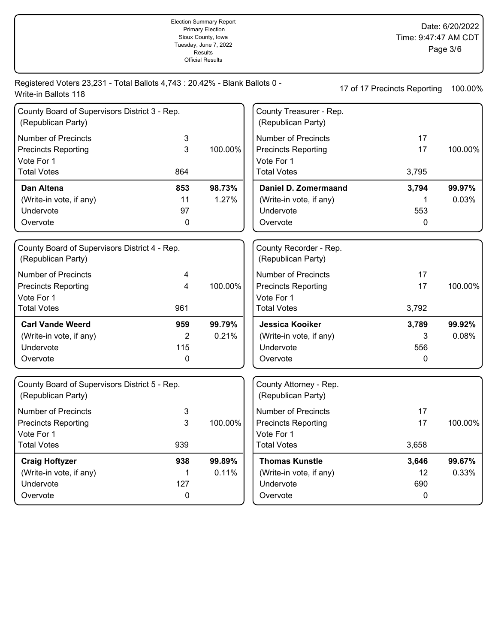|                                                                                                     |                      | Tuesday, June 7, 2022<br>Results<br><b>Official Results</b> |                                                                                              |                              | Page 3/6        |
|-----------------------------------------------------------------------------------------------------|----------------------|-------------------------------------------------------------|----------------------------------------------------------------------------------------------|------------------------------|-----------------|
| Registered Voters 23,231 - Total Ballots 4,743 : 20.42% - Blank Ballots 0 -<br>Write-in Ballots 118 |                      |                                                             |                                                                                              | 17 of 17 Precincts Reporting | 100.00%         |
| County Board of Supervisors District 3 - Rep.<br>(Republican Party)                                 |                      |                                                             | County Treasurer - Rep.<br>(Republican Party)                                                |                              |                 |
| <b>Number of Precincts</b><br><b>Precincts Reporting</b><br>Vote For 1<br><b>Total Votes</b>        | 3<br>3<br>864        | 100.00%                                                     | <b>Number of Precincts</b><br><b>Precincts Reporting</b><br>Vote For 1<br><b>Total Votes</b> | 17<br>17<br>3,795            | 100.00%         |
| Dan Altena<br>(Write-in vote, if any)<br>Undervote<br>Overvote                                      | 853<br>11<br>97<br>0 | 98.73%<br>1.27%                                             | Daniel D. Zomermaand<br>(Write-in vote, if any)<br>Undervote<br>Overvote                     | 3,794<br>1<br>553<br>0       | 99.97%<br>0.03% |
| County Board of Supervisors District 4 - Rep.<br>(Republican Party)                                 |                      |                                                             | County Recorder - Rep.<br>(Republican Party)                                                 |                              |                 |
| <b>Number of Precincts</b><br><b>Precincts Reporting</b><br>Vote For 1<br><b>Total Votes</b>        | 4<br>4<br>961        | 100.00%                                                     | <b>Number of Precincts</b><br><b>Precincts Reporting</b><br>Vote For 1<br><b>Total Votes</b> | 17<br>17<br>3,792            | 100.00%         |
| <b>Carl Vande Weerd</b><br>(Write-in vote, if any)<br>Undervote<br>Overvote                         | 959<br>2<br>115<br>0 | 99.79%<br>0.21%                                             | <b>Jessica Kooiker</b><br>(Write-in vote, if any)<br>Undervote<br>Overvote                   | 3,789<br>3<br>556<br>0       | 99.92%<br>0.08% |
| County Board of Supervisors District 5 - Rep.<br>(Republican Party)                                 |                      |                                                             | County Attorney - Rep.<br>(Republican Party)                                                 |                              |                 |
| Number of Precincts<br><b>Precincts Reporting</b><br>Vote For 1<br><b>Total Votes</b>               | 3<br>3<br>939        | 100.00%                                                     | <b>Number of Precincts</b><br><b>Precincts Reporting</b><br>Vote For 1<br><b>Total Votes</b> | 17<br>17<br>3,658            | 100.00%         |
| <b>Craig Hoftyzer</b><br>(Write-in vote, if any)<br>Undervote<br>Overvote                           | 938<br>1<br>127<br>0 | 99.89%<br>0.11%                                             | <b>Thomas Kunstle</b><br>(Write-in vote, if any)<br>Undervote<br>Overvote                    | 3,646<br>12<br>690<br>0      | 99.67%<br>0.33% |

Election Summary Report Primary Election Sioux County, Iowa

Date: 6/20/2022

Time: 9:47:47 AM CDT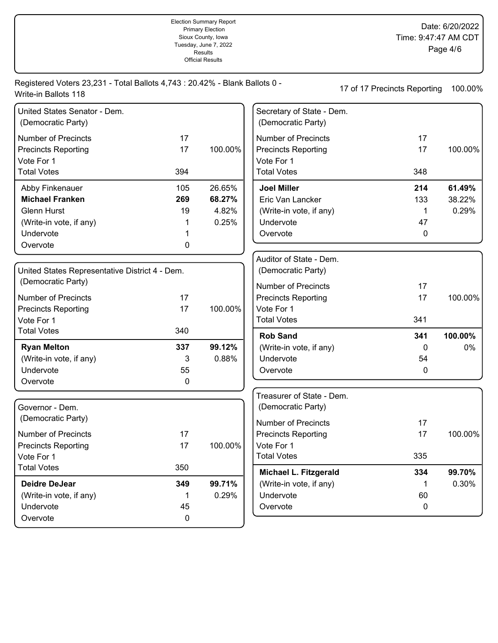Election Summary Report Primary Election Sioux County, Iowa Tuesday, June 7, 2022 Results Official Results

Date: 6/20/2022 Time: 9:47:47 AM CDT Page 4/6

Registered Voters 23,231 - Total Ballots 4,743 : 20.42% - Blank Ballots 0 - 17 of 17 Precincts Reporting 100.00% Write-in Ballots 118

| United States Senator - Dem.<br>(Democratic Party) |     |         |
|----------------------------------------------------|-----|---------|
| Number of Precincts                                | 17  |         |
| <b>Precincts Reporting</b>                         | 17  | 100.00% |
| Vote For 1                                         |     |         |
| <b>Total Votes</b>                                 | 394 |         |
|                                                    |     |         |
| Abby Finkenauer                                    | 105 | 26.65%  |
| <b>Michael Franken</b>                             | 269 | 68.27%  |
| Glenn Hurst                                        | 19  | 4.82%   |
| (Write-in vote, if any)                            | 1   | 0.25%   |
| Undervote                                          | 1   |         |

| United States Representative District 4 - Dem.<br>(Democratic Party) |     |         |
|----------------------------------------------------------------------|-----|---------|
| Number of Precincts                                                  | 17  |         |
| <b>Precincts Reporting</b>                                           | 17  | 100.00% |
| Vote For 1                                                           |     |         |
| <b>Total Votes</b>                                                   | 340 |         |
| <b>Ryan Melton</b>                                                   | 337 | 99.12%  |
| (Write-in vote, if any)                                              | 3   | 0.88%   |
| Undervote                                                            | 55  |         |
| Overvote                                                             | 0   |         |

| Governor - Dem.<br>(Democratic Party) |     |         |
|---------------------------------------|-----|---------|
| Number of Precincts                   | 17  |         |
| <b>Precincts Reporting</b>            | 17  | 100.00% |
| Vote For 1                            |     |         |
| <b>Total Votes</b>                    | 350 |         |
| Deidre DeJear                         | 349 | 99.71%  |
| (Write-in vote, if any)               | 1   | 0.29%   |
| Undervote                             | 45  |         |
| Overvote                              |     |         |

| Secretary of State - Dem.<br>(Democratic Party) |     |         |
|-------------------------------------------------|-----|---------|
| Number of Precincts                             | 17  |         |
| <b>Precincts Reporting</b>                      | 17  | 100.00% |
| Vote For 1                                      |     |         |
| <b>Total Votes</b>                              | 348 |         |
| <b>Joel Miller</b>                              | 214 | 61.49%  |
| Eric Van Lancker                                | 133 | 38.22%  |
| (Write-in vote, if any)                         |     | 0.29%   |
| Undervote                                       | 47  |         |
| Overvote                                        | O   |         |
| Auditor of State - Dem                          |     |         |

| Auditor of State - Dem.<br>(Democratic Party) |     |         |
|-----------------------------------------------|-----|---------|
| Number of Precincts                           | 17  |         |
| <b>Precincts Reporting</b>                    | 17  | 100.00% |
| Vote For 1                                    |     |         |
| <b>Total Votes</b>                            | 341 |         |
| <b>Rob Sand</b>                               | 341 | 100.00% |
| (Write-in vote, if any)                       | 0   | $0\%$   |
| Undervote                                     | 54  |         |
| Overvote                                      | O   |         |

| Treasurer of State - Dem.<br>(Democratic Party) |     |         |
|-------------------------------------------------|-----|---------|
| Number of Precincts                             | 17  |         |
| <b>Precincts Reporting</b>                      | 17  | 100.00% |
| Vote For 1                                      |     |         |
| <b>Total Votes</b>                              | 335 |         |
| Michael L. Fitzgerald                           | 334 | 99.70%  |
| (Write-in vote, if any)                         | 1   | 0.30%   |
| Undervote                                       | 60  |         |
| Overvote                                        | O   |         |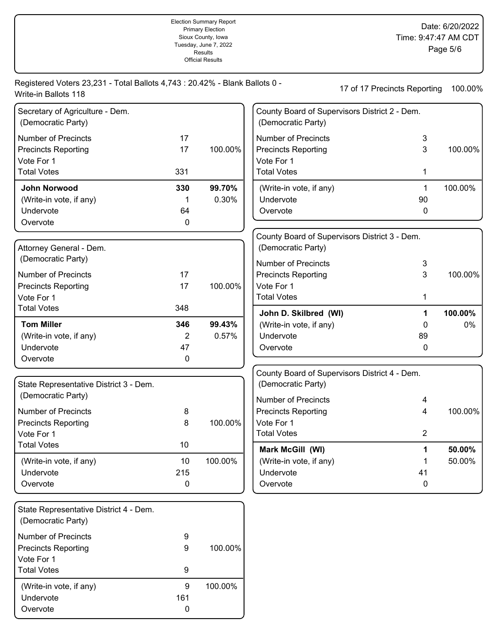|                                                                                                     |                      | Sioux County, Iowa<br>Tuesday, June 7, 2022<br><b>Results</b><br><b>Official Results</b> |                                                                                              | Time: 9:47:47 AM CDT                               | Page 5/6         |
|-----------------------------------------------------------------------------------------------------|----------------------|------------------------------------------------------------------------------------------|----------------------------------------------------------------------------------------------|----------------------------------------------------|------------------|
| Registered Voters 23,231 - Total Ballots 4,743 : 20.42% - Blank Ballots 0 -<br>Write-in Ballots 118 |                      |                                                                                          |                                                                                              | 17 of 17 Precincts Reporting                       | 100.00%          |
| Secretary of Agriculture - Dem.<br>(Democratic Party)                                               |                      |                                                                                          | (Democratic Party)                                                                           | County Board of Supervisors District 2 - Dem.      |                  |
| <b>Number of Precincts</b><br><b>Precincts Reporting</b><br>Vote For 1<br><b>Total Votes</b>        | 17<br>17<br>331      | 100.00%                                                                                  | <b>Number of Precincts</b><br><b>Precincts Reporting</b><br>Vote For 1<br><b>Total Votes</b> | 3<br>3<br>1                                        | 100.00%          |
| John Norwood<br>(Write-in vote, if any)<br>Undervote<br>Overvote                                    | 330<br>64<br>0       | 99.70%<br>0.30%                                                                          | (Write-in vote, if any)<br>Undervote<br>Overvote                                             | 1<br>90<br>0                                       | 100.00%          |
| Attorney General - Dem.<br>(Democratic Party)                                                       |                      |                                                                                          | (Democratic Party)<br><b>Number of Precincts</b>                                             | County Board of Supervisors District 3 - Dem.<br>3 |                  |
| <b>Number of Precincts</b><br><b>Precincts Reporting</b><br>Vote For 1                              | 17<br>17             | 100.00%                                                                                  | <b>Precincts Reporting</b><br>Vote For 1<br><b>Total Votes</b>                               | 3<br>1                                             | 100.00%          |
| <b>Total Votes</b>                                                                                  | 348                  |                                                                                          | John D. Skilbred (WI)                                                                        | 1                                                  | 100.00%          |
| <b>Tom Miller</b><br>(Write-in vote, if any)<br>Undervote<br>Overvote                               | 346<br>2<br>47<br>0  | 99.43%<br>0.57%                                                                          | (Write-in vote, if any)<br>Undervote<br>Overvote                                             | 0<br>89<br>0                                       | 0%               |
| State Representative District 3 - Dem.                                                              |                      |                                                                                          | (Democratic Party)                                                                           | County Board of Supervisors District 4 - Dem.      |                  |
| (Democratic Party)<br><b>Number of Precincts</b><br><b>Precincts Reporting</b><br>Vote For 1        | 8<br>8               | 100.00%                                                                                  | <b>Number of Precincts</b><br><b>Precincts Reporting</b><br>Vote For 1<br><b>Total Votes</b> | 4<br>4<br>$\overline{2}$                           | 100.00%          |
| <b>Total Votes</b><br>(Write-in vote, if any)<br>Undervote<br>Overvote                              | 10<br>10<br>215<br>0 | 100.00%                                                                                  | Mark McGill (WI)<br>(Write-in vote, if any)<br>Undervote<br>Overvote                         | 1<br>1<br>41<br>$\mathbf 0$                        | 50.00%<br>50.00% |
| State Representative District 4 - Dem.<br>(Democratic Party)                                        |                      |                                                                                          |                                                                                              |                                                    |                  |
| <b>Number of Precincts</b><br><b>Precincts Reporting</b><br>Vote For 1<br><b>Total Votes</b>        | 9<br>9<br>9          | 100.00%                                                                                  |                                                                                              |                                                    |                  |
| (Write-in vote, if any)                                                                             | 9                    | 100.00%                                                                                  |                                                                                              |                                                    |                  |

Undervote 161<br>Overvote 0

Overvote

Election Summary Report Primary Election

Date: 6/20/2022